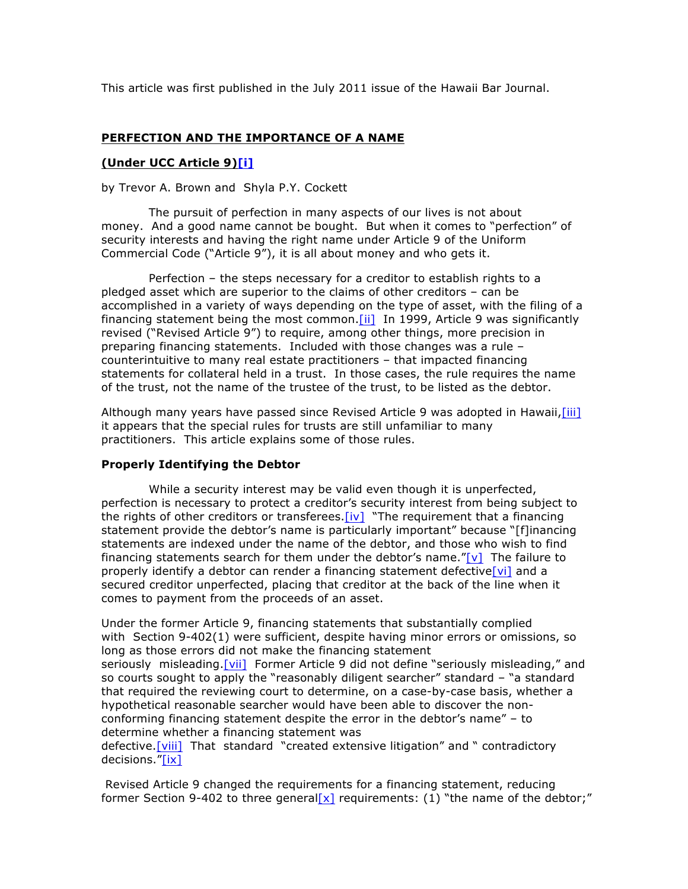This article was first published in the July 2011 issue of the Hawaii Bar Journal.

## **PERFECTION AND THE IMPORTANCE OF A NAME**

#### **(Under UCC Article 9)[i]**

#### by Trevor A. Brown and Shyla P.Y. Cockett

The pursuit of perfection in many aspects of our lives is not about money. And a good name cannot be bought. But when it comes to "perfection" of security interests and having the right name under Article 9 of the Uniform Commercial Code ("Article 9"), it is all about money and who gets it.

Perfection – the steps necessary for a creditor to establish rights to a pledged asset which are superior to the claims of other creditors – can be accomplished in a variety of ways depending on the type of asset, with the filing of a financing statement being the most common. [ii] In 1999, Article 9 was significantly revised ("Revised Article 9") to require, among other things, more precision in preparing financing statements. Included with those changes was a rule – counterintuitive to many real estate practitioners – that impacted financing statements for collateral held in a trust. In those cases, the rule requires the name of the trust, not the name of the trustee of the trust, to be listed as the debtor.

Although many years have passed since Revised Article 9 was adopted in Hawaii, [iii] it appears that the special rules for trusts are still unfamiliar to many practitioners. This article explains some of those rules.

### **Properly Identifying the Debtor**

While a security interest may be valid even though it is unperfected, perfection is necessary to protect a creditor's security interest from being subject to the rights of other creditors or transferees. [iv] "The requirement that a financing statement provide the debtor's name is particularly important" because "[f]inancing statements are indexed under the name of the debtor, and those who wish to find financing statements search for them under the debtor's name."[v] The failure to properly identify a debtor can render a financing statement defective [vi] and a secured creditor unperfected, placing that creditor at the back of the line when it comes to payment from the proceeds of an asset.

Under the former Article 9, financing statements that substantially complied with Section 9-402(1) were sufficient, despite having minor errors or omissions, so long as those errors did not make the financing statement seriously misleading. [vii] Former Article 9 did not define "seriously misleading," and so courts sought to apply the "reasonably diligent searcher" standard – "a standard that required the reviewing court to determine, on a case-by-case basis, whether a hypothetical reasonable searcher would have been able to discover the nonconforming financing statement despite the error in the debtor's name" – to determine whether a financing statement was

defective. [viii] That standard "created extensive litigation" and " contradictory decisions."[ix]

Revised Article 9 changed the requirements for a financing statement, reducing former Section 9-402 to three general[x] requirements: (1) "the name of the debtor;"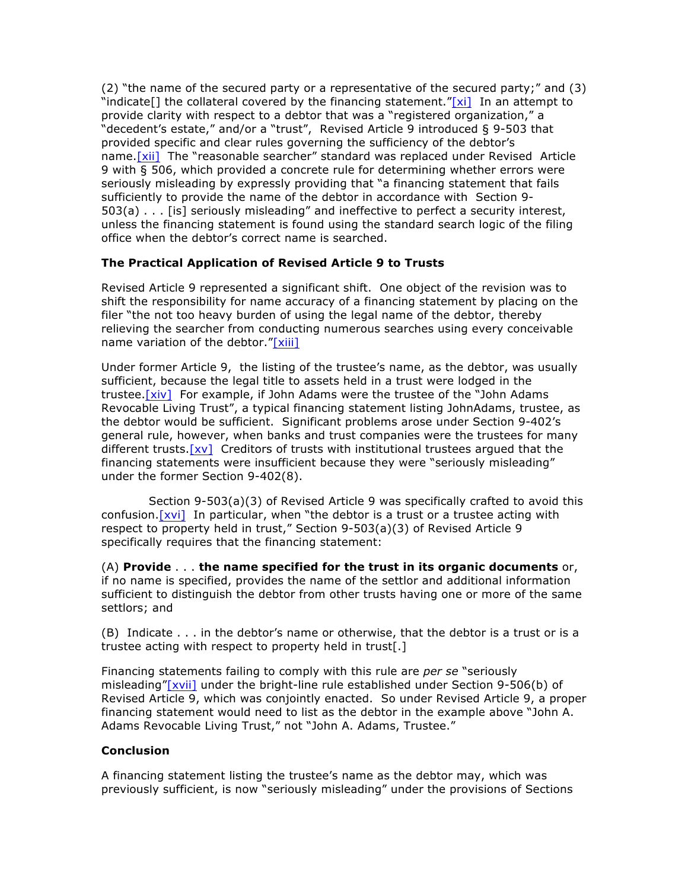(2) "the name of the secured party or a representative of the secured party;" and (3) "indicate<sup>[]</sup> the collateral covered by the financing statement."[xi] In an attempt to provide clarity with respect to a debtor that was a "registered organization," a "decedent's estate," and/or a "trust", Revised Article 9 introduced § 9-503 that provided specific and clear rules governing the sufficiency of the debtor's name. [xii] The "reasonable searcher" standard was replaced under Revised Article 9 with § 506, which provided a concrete rule for determining whether errors were seriously misleading by expressly providing that "a financing statement that fails sufficiently to provide the name of the debtor in accordance with Section 9- 503(a) . . . [is] seriously misleading" and ineffective to perfect a security interest, unless the financing statement is found using the standard search logic of the filing office when the debtor's correct name is searched.

# **The Practical Application of Revised Article 9 to Trusts**

Revised Article 9 represented a significant shift. One object of the revision was to shift the responsibility for name accuracy of a financing statement by placing on the filer "the not too heavy burden of using the legal name of the debtor, thereby relieving the searcher from conducting numerous searches using every conceivable name variation of the debtor." $[xiii]$ 

Under former Article 9, the listing of the trustee's name, as the debtor, was usually sufficient, because the legal title to assets held in a trust were lodged in the trustee.[xiv] For example, if John Adams were the trustee of the "John Adams Revocable Living Trust", a typical financing statement listing JohnAdams, trustee, as the debtor would be sufficient. Significant problems arose under Section 9-402's general rule, however, when banks and trust companies were the trustees for many different trusts.  $[xv]$  Creditors of trusts with institutional trustees argued that the financing statements were insufficient because they were "seriously misleading" under the former Section 9-402(8).

Section 9-503(a)(3) of Revised Article 9 was specifically crafted to avoid this confusion.[xvi] In particular, when "the debtor is a trust or a trustee acting with respect to property held in trust," Section 9-503(a)(3) of Revised Article 9 specifically requires that the financing statement:

(A) **Provide** . . . **the name specified for the trust in its organic documents** or, if no name is specified, provides the name of the settlor and additional information sufficient to distinguish the debtor from other trusts having one or more of the same settlors; and

(B) Indicate . . . in the debtor's name or otherwise, that the debtor is a trust or is a trustee acting with respect to property held in trust[.]

Financing statements failing to comply with this rule are *per se* "seriously misleading"[xvii] under the bright-line rule established under Section 9-506(b) of Revised Article 9, which was conjointly enacted. So under Revised Article 9, a proper financing statement would need to list as the debtor in the example above "John A. Adams Revocable Living Trust," not "John A. Adams, Trustee."

### **Conclusion**

A financing statement listing the trustee's name as the debtor may, which was previously sufficient, is now "seriously misleading" under the provisions of Sections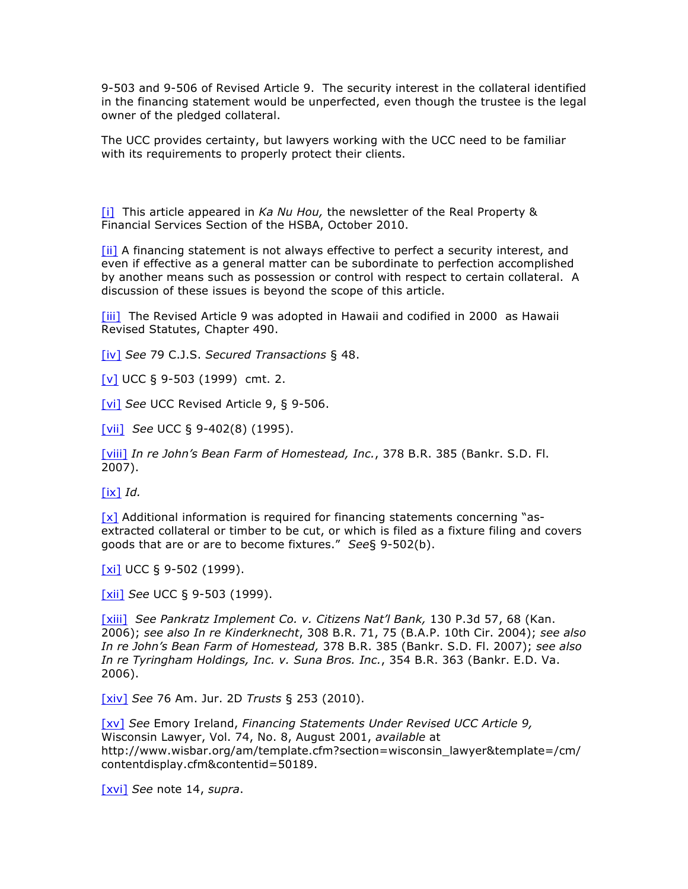9-503 and 9-506 of Revised Article 9. The security interest in the collateral identified in the financing statement would be unperfected, even though the trustee is the legal owner of the pledged collateral.

The UCC provides certainty, but lawyers working with the UCC need to be familiar with its requirements to properly protect their clients.

[i] This article appeared in *Ka Nu Hou,* the newsletter of the Real Property & Financial Services Section of the HSBA, October 2010.

[ii] A financing statement is not always effective to perfect a security interest, and even if effective as a general matter can be subordinate to perfection accomplished by another means such as possession or control with respect to certain collateral. A discussion of these issues is beyond the scope of this article.

[iii] The Revised Article 9 was adopted in Hawaii and codified in 2000 as Hawaii Revised Statutes, Chapter 490.

[iv] *See* 79 C.J.S. *Secured Transactions* § 48.

[v] UCC § 9-503 (1999) cmt. 2.

[vi] *See* UCC Revised Article 9, § 9-506.

[vii] *See* UCC § 9-402(8) (1995).

[viii] *In re John's Bean Farm of Homestead, Inc.*, 378 B.R. 385 (Bankr. S.D. Fl. 2007).

[ix] *Id.*

[x] Additional information is required for financing statements concerning "asextracted collateral or timber to be cut, or which is filed as a fixture filing and covers goods that are or are to become fixtures." *See*§ 9-502(b).

[xi] UCC § 9-502 (1999).

[xii] *See* UCC § 9-503 (1999).

[xiii] *See Pankratz Implement Co. v. Citizens Nat'l Bank,* 130 P.3d 57, 68 (Kan. 2006); *see also In re Kinderknecht*, 308 B.R. 71, 75 (B.A.P. 10th Cir. 2004); *see also In re John's Bean Farm of Homestead,* 378 B.R. 385 (Bankr. S.D. Fl. 2007); *see also In re Tyringham Holdings, Inc. v. Suna Bros. Inc.*, 354 B.R. 363 (Bankr. E.D. Va. 2006).

[xiv] *See* 76 Am. Jur. 2D *Trusts* § 253 (2010).

[xv] *See* Emory Ireland, *Financing Statements Under Revised UCC Article 9,*  Wisconsin Lawyer, Vol. 74, No. 8, August 2001, *available* at http://www.wisbar.org/am/template.cfm?section=wisconsin\_lawyer&template=/cm/ contentdisplay.cfm&contentid=50189.

[xvi] *See* note 14, *supra*.